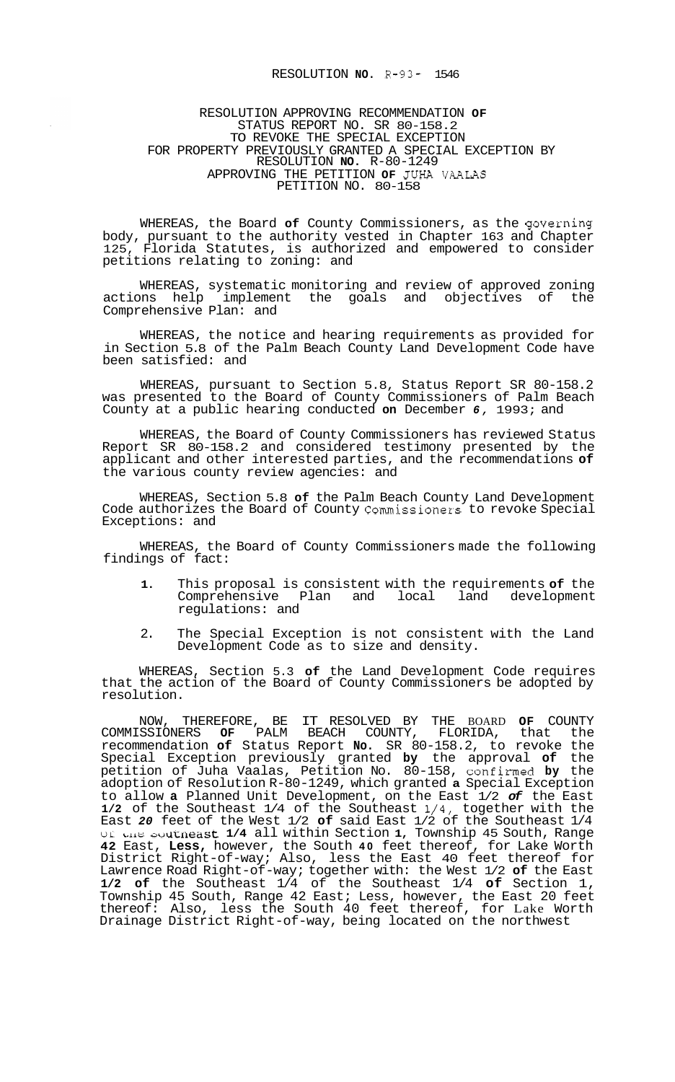## RESOLUTION **NO.** R-93- 1546

## RESOLUTION APPROVING RECOMMENDATION **OF**  STATUS REPORT NO. SR 80-158.2 TO REVOKE THE SPECIAL EXCEPTION RESOLUTION **NO.** R-80-1249 APPROVING THE PETITION **OF** JUHA VAALAS PETITION NO. 80-158 FOR PROPERTY PREVIOUSLY GRANTED A SPECIAL EXCEPTION BY

WHEREAS, the Board **of** County Commissioners, as the governing body, pursuant to the authority vested in Chapter 163 and Chapter 125, Florida Statutes, is authorized and empowered to consider petitions relating to zoning: and

WHEREAS, systematic monitoring and review of approved zoning actions help implement the goals and objectives of the Comprehensive Plan: and

WHEREAS, the notice and hearing requirements as provided for in Section 5.8 of the Palm Beach County Land Development Code have been satisfied: and

WHEREAS, pursuant to Section 5.8, Status Report SR 80-158.2 was presented to the Board of County Commissioners of Palm Beach County at a public hearing conducted **on** December *6,* 1993; and

WHEREAS, the Board of County Commissioners has reviewed Status Report SR 80-158.2 and considered testimony presented by the applicant and other interested parties, and the recommendations **of**  the various county review agencies: and

WHEREAS, Section 5.8 **of** the Palm Beach County Land Development Code authorizes the Board of County Commissioners to revoke Special Exceptions: and

WHEREAS, the Board of County Commissioners made the following findings of fact:

- **1.** This proposal is consistent with the requirements **of** the Comprehensive Plan and local land development regulations: and
- 2. The Special Exception is not consistent with the Land Development Code as to size and density.

WHEREAS, Section 5.3 **of** the Land Development Code requires that the action of the Board of County Commissioners be adopted by resolution.

NOW, THEREFORE, BE IT RESOLVED BY THE BOARD **OF** COUNTY COMMISSIONERS **OF** PALM BEACH COUNTY, FLORIDA, that the recommendation **of** Status Report **No.** SR 80-158.2, to revoke the Special Exception previously granted **by** the approval **of** the petition of Juha Vaalas, Petition No. 80-158, confirmed **by** the adoption of Resolution R-80-1249, which granted **a** Special Exception to allow **a** Planned Unit Development, on the East 1/2 *of* the East **1/2** of the Southeast 1/4 of the Southeast 1/4, together with the East *20* feet of the West 1/2 **of** said East 1/2 of the Southeast 1/4 ui **L-LLC** auurrleast **1/4** all within Section **1,** Township 45 South, Range **42** East, **Less,** however, the South **40** feet thereof, for Lake Worth District Right-of-way; Also, less the East 40 feet thereof for Lawrence Road Right-of-way; together with: the West 1/2 **of** the East **1/2 of** the Southeast 1/4 of the Southeast 1/4 **of** Section 1, Township 45 South, Range 42 East; Less, however, the East 20 feet thereof: Also, less the South 40 feet thereof, for Lake Worth Drainage District Right-of-way, being located on the northwest